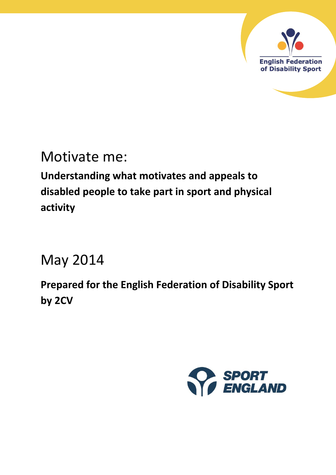

# Motivate me:

**Understanding what motivates and appeals to disabled people to take part in sport and physical activity** 

# May 2014

**Prepared for the English Federation of Disability Sport by 2CV**

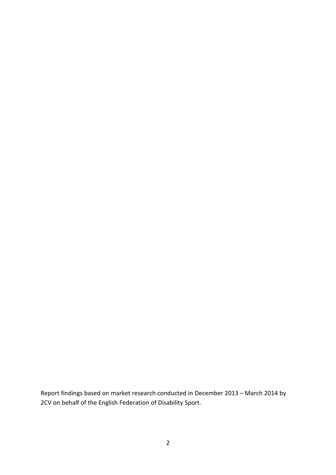Report findings based on market research conducted in December 2013 – March 2014 by 2CV on behalf of the English Federation of Disability Sport.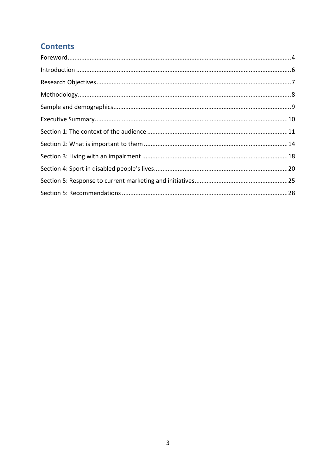# **Contents**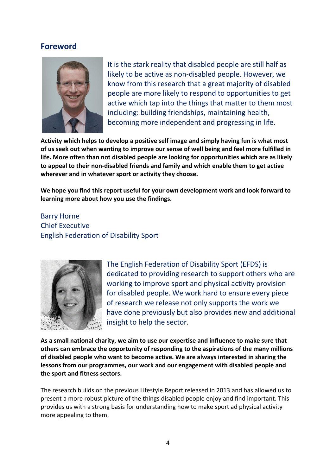### <span id="page-3-0"></span>**Foreword**



It is the stark reality that disabled people are still half as likely to be active as non-disabled people. However, we know from this research that a great majority of disabled people are more likely to respond to opportunities to get active which tap into the things that matter to them most including: building friendships, maintaining health, becoming more independent and progressing in life.

**Activity which helps to develop a positive self image and simply having fun is what most of us seek out when wanting to improve our sense of well being and feel more fulfilled in life. More often than not disabled people are looking for opportunities which are as likely to appeal to their non-disabled friends and family and which enable them to get active wherever and in whatever sport or activity they choose.** 

**We hope you find this report useful for your own development work and look forward to learning more about how you use the findings.** 

## Barry Horne Chief Executive English Federation of Disability Sport



The English Federation of Disability Sport (EFDS) is dedicated to providing research to support others who are working to improve sport and physical activity provision for disabled people. We work hard to ensure every piece of research we release not only supports the work we have done previously but also provides new and additional insight to help the sector.

**As a small national charity, we aim to use our expertise and influence to make sure that others can embrace the opportunity of responding to the aspirations of the many millions of disabled people who want to become active. We are always interested in sharing the lessons from our programmes, our work and our engagement with disabled people and the sport and fitness sectors.**

The research builds on the previous Lifestyle Report released in 2013 and has allowed us to present a more robust picture of the things disabled people enjoy and find important. This provides us with a strong basis for understanding how to make sport ad physical activity more appealing to them.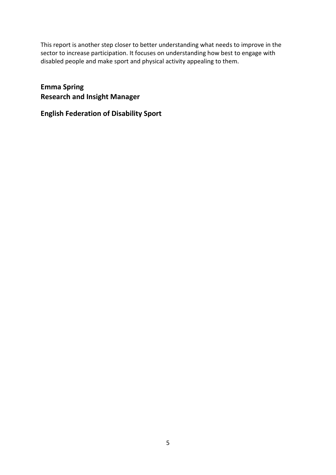This report is another step closer to better understanding what needs to improve in the sector to increase participation. It focuses on understanding how best to engage with disabled people and make sport and physical activity appealing to them.

**Emma Spring Research and Insight Manager** 

**English Federation of Disability Sport**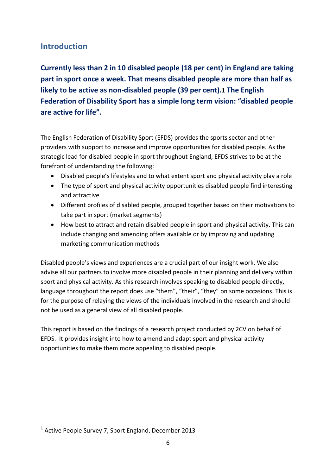# <span id="page-5-0"></span>**Introduction**

**Currently less than 2 in 10 disabled people (18 per cent) in England are taking part in sport once a week. That means disabled people are more than half as likely to be active as non-disabled people (39 per cent).1 The English Federation of Disability Sport has a simple long term vision: "disabled people are active for life".**

The English Federation of Disability Sport (EFDS) provides the sports sector and other providers with support to increase and improve opportunities for disabled people. As the strategic lead for disabled people in sport throughout England, EFDS strives to be at the forefront of understanding the following:

- Disabled people's lifestyles and to what extent sport and physical activity play a role
- The type of sport and physical activity opportunities disabled people find interesting and attractive
- Different profiles of disabled people, grouped together based on their motivations to take part in sport (market segments)
- How best to attract and retain disabled people in sport and physical activity. This can include changing and amending offers available or by improving and updating marketing communication methods

Disabled people's views and experiences are a crucial part of our insight work. We also advise all our partners to involve more disabled people in their planning and delivery within sport and physical activity. As this research involves speaking to disabled people directly, language throughout the report does use "them", "their", "they" on some occasions. This is for the purpose of relaying the views of the individuals involved in the research and should not be used as a general view of all disabled people.

This report is based on the findings of a research project conducted by 2CV on behalf of EFDS. It provides insight into how to amend and adapt sport and physical activity opportunities to make them more appealing to disabled people.

<u>.</u>

<sup>&</sup>lt;sup>1</sup> Active People Survey 7, Sport England, December 2013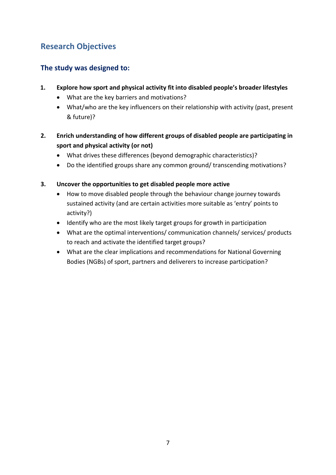# <span id="page-6-0"></span>**Research Objectives**

# **The study was designed to:**

- **1. Explore how sport and physical activity fit into disabled people's broader lifestyles**
	- What are the key barriers and motivations?
	- What/who are the key influencers on their relationship with activity (past, present & future)?
- **2. Enrich understanding of how different groups of disabled people are participating in sport and physical activity (or not)**
	- What drives these differences (beyond demographic characteristics)?
	- Do the identified groups share any common ground/ transcending motivations?
- **3. Uncover the opportunities to get disabled people more active**
	- How to move disabled people through the behaviour change journey towards sustained activity (and are certain activities more suitable as 'entry' points to activity?)
	- Identify who are the most likely target groups for growth in participation
	- What are the optimal interventions/ communication channels/ services/ products to reach and activate the identified target groups?
	- What are the clear implications and recommendations for National Governing Bodies (NGBs) of sport, partners and deliverers to increase participation?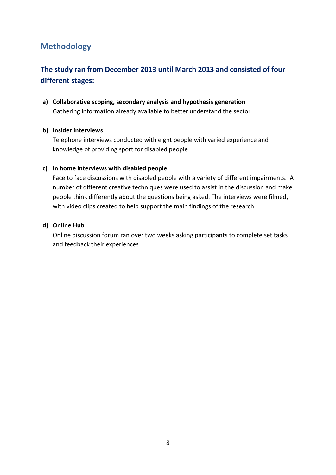# <span id="page-7-0"></span>**Methodology**

# **The study ran from December 2013 until March 2013 and consisted of four different stages:**

**a) Collaborative scoping, secondary analysis and hypothesis generation** Gathering information already available to better understand the sector

#### **b) Insider interviews**

Telephone interviews conducted with eight people with varied experience and knowledge of providing sport for disabled people

#### **c) In home interviews with disabled people**

Face to face discussions with disabled people with a variety of different impairments. A number of different creative techniques were used to assist in the discussion and make people think differently about the questions being asked. The interviews were filmed, with video clips created to help support the main findings of the research.

#### **d) Online Hub**

Online discussion forum ran over two weeks asking participants to complete set tasks and feedback their experiences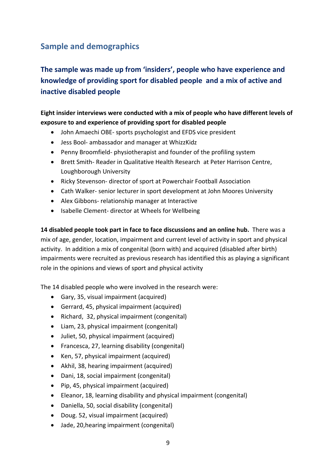# <span id="page-8-0"></span>**Sample and demographics**

**The sample was made up from 'insiders', people who have experience and knowledge of providing sport for disabled people and a mix of active and inactive disabled people**

**Eight insider interviews were conducted with a mix of people who have different levels of exposure to and experience of providing sport for disabled people**

- John Amaechi OBE- sports psychologist and EFDS vice president
- Jess Bool- ambassador and manager at WhizzKidz
- Penny Broomfield- physiotherapist and founder of the profiling system
- Brett Smith- Reader in Qualitative Health Research at Peter Harrison Centre, Loughborough University
- Ricky Stevenson- director of sport at Powerchair Football Association
- Cath Walker- senior lecturer in sport development at John Moores University
- Alex Gibbons- relationship manager at Interactive
- Isabelle Clement- director at Wheels for Wellbeing

**14 disabled people took part in face to face discussions and an online hub.** There was a mix of age, gender, location, impairment and current level of activity in sport and physical activity. In addition a mix of congenital (born with) and acquired (disabled after birth) impairments were recruited as previous research has identified this as playing a significant role in the opinions and views of sport and physical activity

The 14 disabled people who were involved in the research were:

- Gary, 35, visual impairment (acquired)
- Gerrard, 45, physical impairment (acquired)
- Richard, 32, physical impairment (congenital)
- Liam, 23, physical impairment (congenital)
- Juliet, 50, physical impairment (acquired)
- Francesca, 27, learning disability (congenital)
- Ken, 57, physical impairment (acquired)
- Akhil, 38, hearing impairment (acquired)
- Dani, 18, social impairment (congenital)
- Pip, 45, physical impairment (acquired)
- Eleanor, 18, learning disability and physical impairment (congenital)
- Daniella, 50, social disability (congenital)
- Doug. 52, visual impairment (acquired)
- Jade, 20,hearing impairment (congenital)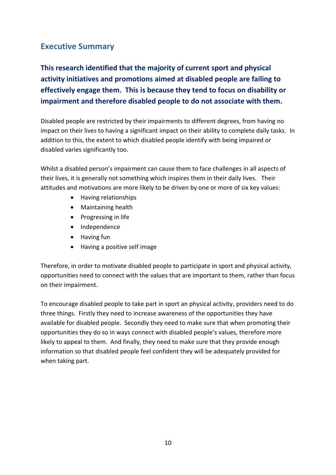# <span id="page-9-0"></span>**Executive Summary**

**This research identified that the majority of current sport and physical activity initiatives and promotions aimed at disabled people are failing to effectively engage them. This is because they tend to focus on disability or impairment and therefore disabled people to do not associate with them.** 

Disabled people are restricted by their impairments to different degrees, from having no impact on their lives to having a significant impact on their ability to complete daily tasks. In addition to this, the extent to which disabled people identify with being impaired or disabled varies significantly too.

Whilst a disabled person's impairment can cause them to face challenges in all aspects of their lives, it is generally not something which inspires them in their daily lives. Their attitudes and motivations are more likely to be driven by one or more of six key values:

- Having relationships
- Maintaining health
- Progressing in life
- Independence
- Having fun
- Having a positive self image

Therefore, in order to motivate disabled people to participate in sport and physical activity, opportunities need to connect with the values that are important to them, rather than focus on their impairment.

To encourage disabled people to take part in sport an physical activity, providers need to do three things. Firstly they need to increase awareness of the opportunities they have available for disabled people. Secondly they need to make sure that when promoting their opportunities they do so in ways connect with disabled people's values, therefore more likely to appeal to them. And finally, they need to make sure that they provide enough information so that disabled people feel confident they will be adequately provided for when taking part.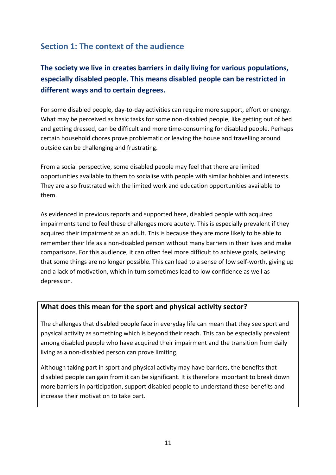# <span id="page-10-0"></span>**Section 1: The context of the audience**

# **The society we live in creates barriers in daily living for various populations, especially disabled people. This means disabled people can be restricted in different ways and to certain degrees.**

For some disabled people, day-to-day activities can require more support, effort or energy. What may be perceived as basic tasks for some non-disabled people, like getting out of bed and getting dressed, can be difficult and more time-consuming for disabled people. Perhaps certain household chores prove problematic or leaving the house and travelling around outside can be challenging and frustrating.

From a social perspective, some disabled people may feel that there are limited opportunities available to them to socialise with people with similar hobbies and interests. They are also frustrated with the limited work and education opportunities available to them.

As evidenced in previous reports and supported here, disabled people with acquired impairments tend to feel these challenges more acutely. This is especially prevalent if they acquired their impairment as an adult. This is because they are more likely to be able to remember their life as a non-disabled person without many barriers in their lives and make comparisons. For this audience, it can often feel more difficult to achieve goals, believing that some things are no longer possible. This can lead to a sense of low self-worth, giving up and a lack of motivation, which in turn sometimes lead to low confidence as well as depression.

### **What does this mean for the sport and physical activity sector?**

The challenges that disabled people face in everyday life can mean that they see sport and physical activity as something which is beyond their reach. This can be especially prevalent among disabled people who have acquired their impairment and the transition from daily living as a non-disabled person can prove limiting.

Although taking part in sport and physical activity may have barriers, the benefits that disabled people can gain from it can be significant. It is therefore important to break down more barriers in participation, support disabled people to understand these benefits and increase their motivation to take part.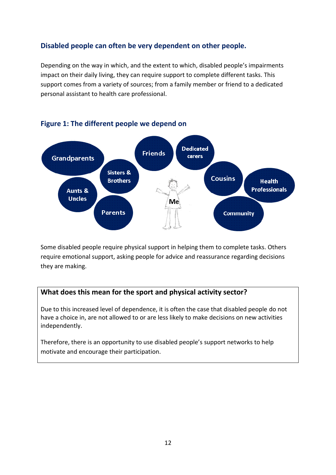## **Disabled people can often be very dependent on other people.**

Depending on the way in which, and the extent to which, disabled people's impairments impact on their daily living, they can require support to complete different tasks. This support comes from a variety of sources; from a family member or friend to a dedicated personal assistant to health care professional.



### **Figure 1: The different people we depend on**

Some disabled people require physical support in helping them to complete tasks. Others require emotional support, asking people for advice and reassurance regarding decisions they are making.

### **What does this mean for the sport and physical activity sector?**

Due to this increased level of dependence, it is often the case that disabled people do not have a choice in, are not allowed to or are less likely to make decisions on new activities independently.

Therefore, there is an opportunity to use disabled people's support networks to help motivate and encourage their participation.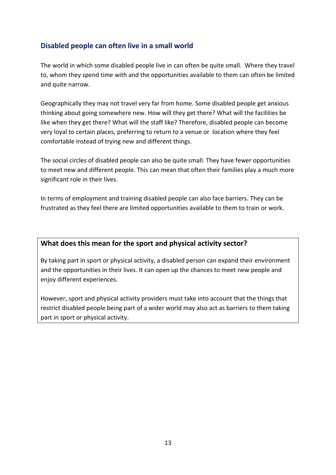## **Disabled people can often live in a small world**

The world in which some disabled people live in can often be quite small. Where they travel to, whom they spend time with and the opportunities available to them can often be limited and quite narrow.

Geographically they may not travel very far from home. Some disabled people get anxious thinking about going somewhere new. How will they get there? What will the facilities be like when they get there? What will the staff like? Therefore, disabled people can become very loyal to certain places, preferring to return to a venue or location where they feel comfortable instead of trying new and different things.

The social circles of disabled people can also be quite small. They have fewer opportunities to meet new and different people. This can mean that often their families play a much more significant role in their lives.

In terms of employment and training disabled people can also face barriers. They can be frustrated as they feel there are limited opportunities available to them to train or work.

### **What does this mean for the sport and physical activity sector?**

By taking part in sport or physical activity, a disabled person can expand their environment and the opportunities in their lives. It can open up the chances to meet new people and enjoy different experiences.

However, sport and physical activity providers must take into account that the things that restrict disabled people being part of a wider world may also act as barriers to them taking part in sport or physical activity.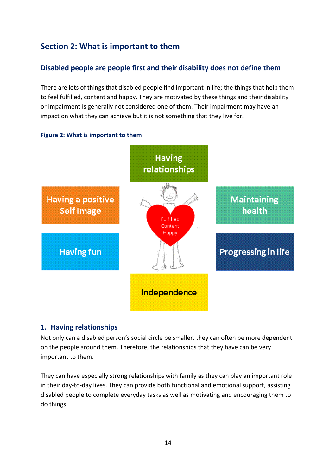# <span id="page-13-0"></span>**Section 2: What is important to them**

## **Disabled people are people first and their disability does not define them**

There are lots of things that disabled people find important in life; the things that help them to feel fulfilled, content and happy. They are motivated by these things and their disability or impairment is generally not considered one of them. Their impairment may have an impact on what they can achieve but it is not something that they live for.



#### **Figure 2: What is important to them**

#### **1. Having relationships**

Not only can a disabled person's social circle be smaller, they can often be more dependent on the people around them. Therefore, the relationships that they have can be very important to them.

They can have especially strong relationships with family as they can play an important role in their day-to-day lives. They can provide both functional and emotional support, assisting disabled people to complete everyday tasks as well as motivating and encouraging them to do things.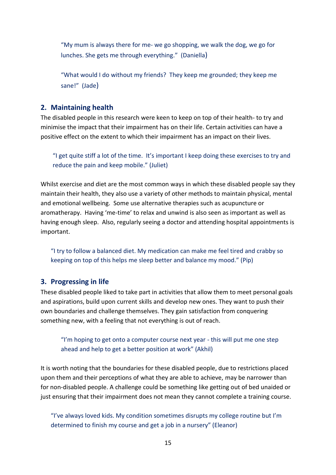"My mum is always there for me- we go shopping, we walk the dog, we go for lunches. She gets me through everything." (Daniella)

"What would I do without my friends? They keep me grounded; they keep me sane!" (Jade)

### **2. Maintaining health**

The disabled people in this research were keen to keep on top of their health- to try and minimise the impact that their impairment has on their life. Certain activities can have a positive effect on the extent to which their impairment has an impact on their lives.

"I get quite stiff a lot of the time. It's important I keep doing these exercises to try and reduce the pain and keep mobile." (Juliet)

Whilst exercise and diet are the most common ways in which these disabled people say they maintain their health, they also use a variety of other methods to maintain physical, mental and emotional wellbeing. Some use alternative therapies such as acupuncture or aromatherapy. Having 'me-time' to relax and unwind is also seen as important as well as having enough sleep. Also, regularly seeing a doctor and attending hospital appointments is important.

"I try to follow a balanced diet. My medication can make me feel tired and crabby so keeping on top of this helps me sleep better and balance my mood." (Pip)

### **3. Progressing in life**

These disabled people liked to take part in activities that allow them to meet personal goals and aspirations, build upon current skills and develop new ones. They want to push their own boundaries and challenge themselves. They gain satisfaction from conquering something new, with a feeling that not everything is out of reach.

#### "I'm hoping to get onto a computer course next year - this will put me one step ahead and help to get a better position at work" (Akhil)

It is worth noting that the boundaries for these disabled people, due to restrictions placed upon them and their perceptions of what they are able to achieve, may be narrower than for non-disabled people. A challenge could be something like getting out of bed unaided or just ensuring that their impairment does not mean they cannot complete a training course.

"I've always loved kids. My condition sometimes disrupts my college routine but I'm determined to finish my course and get a job in a nursery" (Eleanor)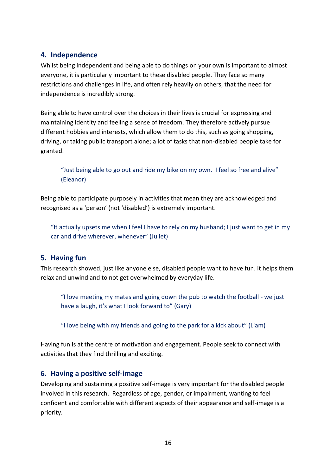### **4. Independence**

Whilst being independent and being able to do things on your own is important to almost everyone, it is particularly important to these disabled people. They face so many restrictions and challenges in life, and often rely heavily on others, that the need for independence is incredibly strong.

Being able to have control over the choices in their lives is crucial for expressing and maintaining identity and feeling a sense of freedom. They therefore actively pursue different hobbies and interests, which allow them to do this, such as going shopping, driving, or taking public transport alone; a lot of tasks that non-disabled people take for granted.

"Just being able to go out and ride my bike on my own. I feel so free and alive" (Eleanor)

Being able to participate purposely in activities that mean they are acknowledged and recognised as a 'person' (not 'disabled') is extremely important.

"It actually upsets me when I feel I have to rely on my husband; I just want to get in my car and drive wherever, whenever" (Juliet)

### **5. Having fun**

This research showed, just like anyone else, disabled people want to have fun. It helps them relax and unwind and to not get overwhelmed by everyday life.

"I love meeting my mates and going down the pub to watch the football - we just have a laugh, it's what I look forward to" (Gary)

"I love being with my friends and going to the park for a kick about" (Liam)

Having fun is at the centre of motivation and engagement. People seek to connect with activities that they find thrilling and exciting.

### **6. Having a positive self-image**

Developing and sustaining a positive self-image is very important for the disabled people involved in this research. Regardless of age, gender, or impairment, wanting to feel confident and comfortable with different aspects of their appearance and self-image is a priority.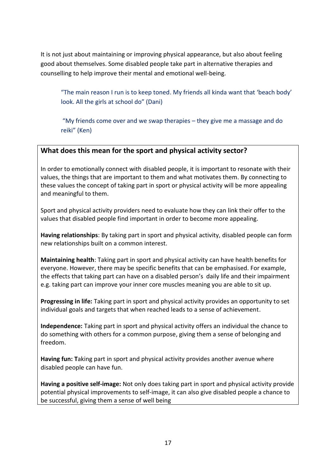It is not just about maintaining or improving physical appearance, but also about feeling good about themselves. Some disabled people take part in alternative therapies and counselling to help improve their mental and emotional well-being.

"The main reason I run is to keep toned. My friends all kinda want that 'beach body' look. All the girls at school do" (Dani)

"My friends come over and we swap therapies – they give me a massage and do reiki" (Ken)

### **What does this mean for the sport and physical activity sector?**

In order to emotionally connect with disabled people, it is important to resonate with their values, the things that are important to them and what motivates them. By connecting to these values the concept of taking part in sport or physical activity will be more appealing and meaningful to them.

Sport and physical activity providers need to evaluate how they can link their offer to the values that disabled people find important in order to become more appealing.

**Having relationships**: By taking part in sport and physical activity, disabled people can form new relationships built on a common interest.

**Maintaining health**: Taking part in sport and physical activity can have health benefits for everyone. However, there may be specific benefits that can be emphasised. For example, the effects that taking part can have on a disabled person's daily life and their impairment e.g. taking part can improve your inner core muscles meaning you are able to sit up.

**Progressing in life:** Taking part in sport and physical activity provides an opportunity to set individual goals and targets that when reached leads to a sense of achievement.

**Independence:** Taking part in sport and physical activity offers an individual the chance to do something with others for a common purpose, giving them a sense of belonging and freedom.

**Having fun: T**aking part in sport and physical activity provides another avenue where disabled people can have fun.

**Having a positive self-image:** Not only does taking part in sport and physical activity provide potential physical improvements to self-image, it can also give disabled people a chance to be successful, giving them a sense of well being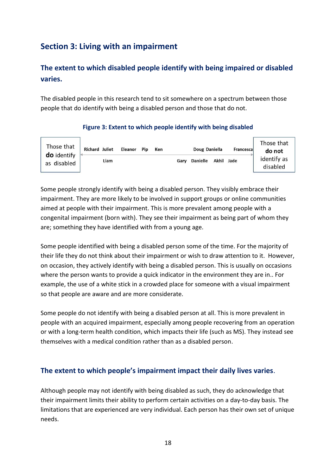# <span id="page-17-0"></span>**Section 3: Living with an impairment**

# **The extent to which disabled people identify with being impaired or disabled varies.**

The disabled people in this research tend to sit somewhere on a spectrum between those people that do identify with being a disabled person and those that do not.



#### **Figure 3: Extent to which people identify with being disabled**

Some people strongly identify with being a disabled person. They visibly embrace their impairment. They are more likely to be involved in support groups or online communities aimed at people with their impairment. This is more prevalent among people with a congenital impairment (born with). They see their impairment as being part of whom they are; something they have identified with from a young age.

Some people identified with being a disabled person some of the time. For the majority of their life they do not think about their impairment or wish to draw attention to it. However, on occasion, they actively identify with being a disabled person. This is usually on occasions where the person wants to provide a quick indicator in the environment they are in.. For example, the use of a white stick in a crowded place for someone with a visual impairment so that people are aware and are more considerate.

Some people do not identify with being a disabled person at all. This is more prevalent in people with an acquired impairment, especially among people recovering from an operation or with a long-term health condition, which impacts their life (such as MS). They instead see themselves with a medical condition rather than as a disabled person.

### **The extent to which people's impairment impact their daily lives varies**.

Although people may not identify with being disabled as such, they do acknowledge that their impairment limits their ability to perform certain activities on a day-to-day basis. The limitations that are experienced are very individual. Each person has their own set of unique needs.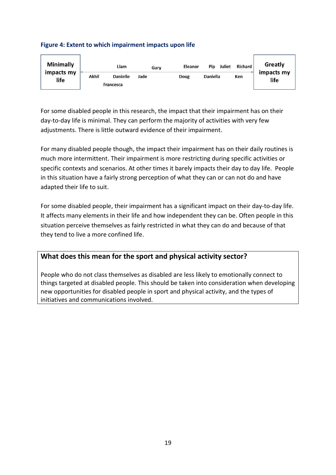#### **Figure 4: Extent to which impairment impacts upon life**



For some disabled people in this research, the impact that their impairment has on their day-to-day life is minimal. They can perform the majority of activities with very few adjustments. There is little outward evidence of their impairment.

For many disabled people though, the impact their impairment has on their daily routines is much more intermittent. Their impairment is more restricting during specific activities or specific contexts and scenarios. At other times it barely impacts their day to day life. People in this situation have a fairly strong perception of what they can or can not do and have adapted their life to suit.

For some disabled people, their impairment has a significant impact on their day-to-day life. It affects many elements in their life and how independent they can be. Often people in this situation perceive themselves as fairly restricted in what they can do and because of that they tend to live a more confined life.

### **What does this mean for the sport and physical activity sector?**

People who do not class themselves as disabled are less likely to emotionally connect to things targeted at disabled people. This should be taken into consideration when developing new opportunities for disabled people in sport and physical activity, and the types of initiatives and communications involved.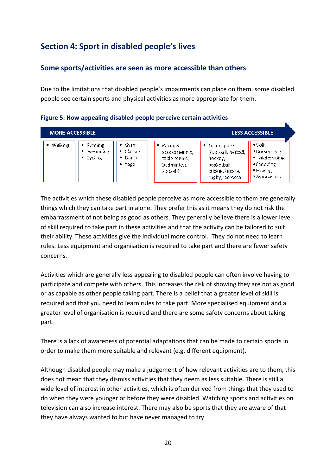# <span id="page-19-0"></span>**Section 4: Sport in disabled people's lives**

### **Some sports/activities are seen as more accessible than others**

Due to the limitations that disabled people's impairments can place on them, some disabled people see certain sports and physical activities as more appropriate for them.

| <b>MORE ACCESSIBLE</b>           |                                                                |                                                                             |                                                                                     |                                                                                                                   | <b>LESS ACCESSIBLE</b>                                                                         |
|----------------------------------|----------------------------------------------------------------|-----------------------------------------------------------------------------|-------------------------------------------------------------------------------------|-------------------------------------------------------------------------------------------------------------------|------------------------------------------------------------------------------------------------|
| <b>Walking</b><br>$\blacksquare$ | $\blacksquare$ Running<br>■ Swimming<br>$\blacksquare$ Cycling | $\equiv$ Gvm<br>Classes<br>畫<br>$\blacksquare$ Dance<br>. <sup>■</sup> Yoga | $\blacksquare$ Racquet<br>sports (tennis,<br>table tennis,<br>badminton.<br>squash) | $\blacksquare$ Team sports<br>(football, netball,<br>hockey,<br>basketball,<br>cricket boccia,<br>rugby lacrosse) | $\equiv$ Golf<br>*Horseriding<br>· Waterskiing<br>$\epsilon$ Canoeing<br>Rowing<br>■Gymnastics |

**Figure 5: How appealing disabled people perceive certain activities**

The activities which these disabled people perceive as more accessible to them are generally things which they can take part in alone. They prefer this as it means they do not risk the embarrassment of not being as good as others. They generally believe there is a lower level of skill required to take part in these activities and that the activity can be tailored to suit their ability. These activities give the individual more control. They do not need to learn rules. Less equipment and organisation is required to take part and there are fewer safety concerns.

Activities which are generally less appealing to disabled people can often involve having to participate and compete with others. This increases the risk of showing they are not as good or as capable as other people taking part. There is a belief that a greater level of skill is required and that you need to learn rules to take part. More specialised equipment and a greater level of organisation is required and there are some safety concerns about taking part.

There is a lack of awareness of potential adaptations that can be made to certain sports in order to make them more suitable and relevant (e.g. different equipment).

Although disabled people may make a judgement of how relevant activities are to them, this does not mean that they dismiss activities that they deem as less suitable. There is still a wide level of interest in other activities, which is often derived from things that they used to do when they were younger or before they were disabled. Watching sports and activities on television can also increase interest. There may also be sports that they are aware of that they have always wanted to but have never managed to try.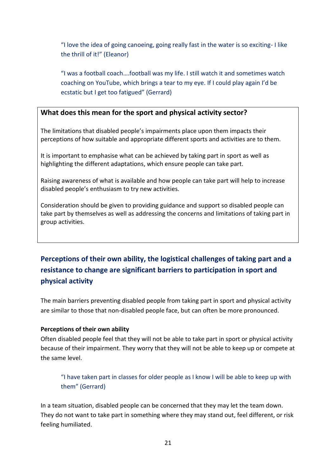"I love the idea of going canoeing, going really fast in the water is so exciting- I like the thrill of it!" (Eleanor)

"I was a football coach….football was my life. I still watch it and sometimes watch coaching on YouTube, which brings a tear to my eye. If I could play again I'd be ecstatic but I get too fatigued" (Gerrard)

### **What does this mean for the sport and physical activity sector?**

The limitations that disabled people's impairments place upon them impacts their perceptions of how suitable and appropriate different sports and activities are to them.

It is important to emphasise what can be achieved by taking part in sport as well as highlighting the different adaptations, which ensure people can take part.

Raising awareness of what is available and how people can take part will help to increase disabled people's enthusiasm to try new activities.

Consideration should be given to providing guidance and support so disabled people can take part by themselves as well as addressing the concerns and limitations of taking part in group activities.

# **Perceptions of their own ability, the logistical challenges of taking part and a resistance to change are significant barriers to participation in sport and physical activity**

The main barriers preventing disabled people from taking part in sport and physical activity are similar to those that non-disabled people face, but can often be more pronounced.

#### **Perceptions of their own ability**

Often disabled people feel that they will not be able to take part in sport or physical activity because of their impairment. They worry that they will not be able to keep up or compete at the same level.

"I have taken part in classes for older people as I know I will be able to keep up with them" (Gerrard)

In a team situation, disabled people can be concerned that they may let the team down. They do not want to take part in something where they may stand out, feel different, or risk feeling humiliated.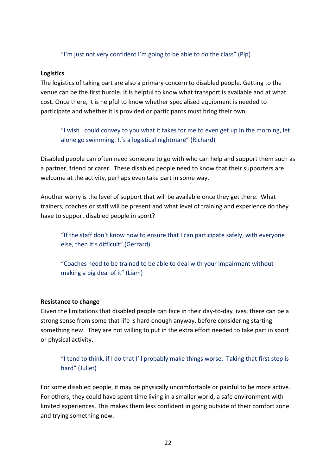#### "I'm just not very confident I'm going to be able to do the class" (Pip)

#### **Logistics**

The logistics of taking part are also a primary concern to disabled people. Getting to the venue can be the first hurdle. It is helpful to know what transport is available and at what cost. Once there, it is helpful to know whether specialised equipment is needed to participate and whether it is provided or participants must bring their own.

"I wish I could convey to you what it takes for me to even get up in the morning, let alone go swimming. It's a logistical nightmare" (Richard)

Disabled people can often need someone to go with who can help and support them such as a partner, friend or carer. These disabled people need to know that their supporters are welcome at the activity, perhaps even take part in some way.

Another worry is the level of support that will be available once they get there. What trainers, coaches or staff will be present and what level of training and experience do they have to support disabled people in sport?

"If the staff don't know how to ensure that I can participate safely, with everyone else, then it's difficult" (Gerrard)

"Coaches need to be trained to be able to deal with your impairment without making a big deal of it" (Liam)

#### **Resistance to change**

Given the limitations that disabled people can face in their day-to-day lives, there can be a strong sense from some that life is hard enough anyway, before considering starting something new. They are not willing to put in the extra effort needed to take part in sport or physical activity.

"I tend to think, if I do that I'll probably make things worse. Taking that first step is hard" (Juliet)

For some disabled people, it may be physically uncomfortable or painful to be more active. For others, they could have spent time living in a smaller world, a safe environment with limited experiences. This makes them less confident in going outside of their comfort zone and trying something new.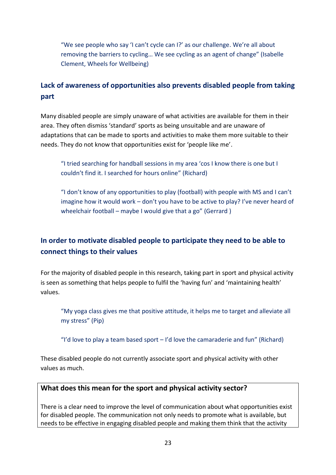"We see people who say 'I can't cycle can I?' as our challenge. We're all about removing the barriers to cycling… We see cycling as an agent of change" (Isabelle Clement, Wheels for Wellbeing)

# **Lack of awareness of opportunities also prevents disabled people from taking part**

Many disabled people are simply unaware of what activities are available for them in their area. They often dismiss 'standard' sports as being unsuitable and are unaware of adaptations that can be made to sports and activities to make them more suitable to their needs. They do not know that opportunities exist for 'people like me'.

"I tried searching for handball sessions in my area 'cos I know there is one but I couldn't find it. I searched for hours online" (Richard)

"I don't know of any opportunities to play (football) with people with MS and I can't imagine how it would work – don't you have to be active to play? I've never heard of wheelchair football – maybe I would give that a go" (Gerrard)

# **In order to motivate disabled people to participate they need to be able to connect things to their values**

For the majority of disabled people in this research, taking part in sport and physical activity is seen as something that helps people to fulfil the 'having fun' and 'maintaining health' values.

"My yoga class gives me that positive attitude, it helps me to target and alleviate all my stress" (Pip)

"I'd love to play a team based sport  $-$  I'd love the camaraderie and fun" (Richard)

These disabled people do not currently associate sport and physical activity with other values as much.

### **What does this mean for the sport and physical activity sector?**

There is a clear need to improve the level of communication about what opportunities exist for disabled people. The communication not only needs to promote what is available, but needs to be effective in engaging disabled people and making them think that the activity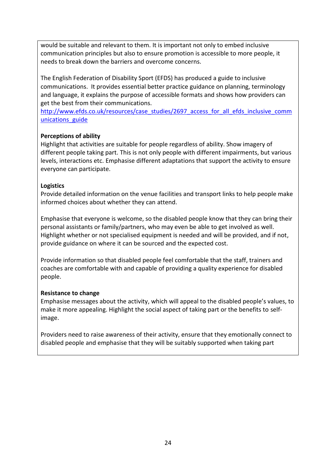would be suitable and relevant to them. It is important not only to embed inclusive communication principles but also to ensure promotion is accessible to more people, it needs to break down the barriers and overcome concerns.

The English Federation of Disability Sport (EFDS) has produced a guide to inclusive communications. It provides essential better practice guidance on planning, terminology and language, it explains the purpose of accessible formats and shows how providers can get the best from their communications.

[http://www.efds.co.uk/resources/case\\_studies/2697\\_access\\_for\\_all\\_efds\\_inclusive\\_comm](http://www.efds.co.uk/resources/case_studies/2697_access_for_all_efds_inclusive_communications_guide) unications guide

#### **Perceptions of ability**

Highlight that activities are suitable for people regardless of ability. Show imagery of different people taking part. This is not only people with different impairments, but various levels, interactions etc. Emphasise different adaptations that support the activity to ensure everyone can participate.

#### **Logistics**

Provide detailed information on the venue facilities and transport links to help people make informed choices about whether they can attend.

Emphasise that everyone is welcome, so the disabled people know that they can bring their personal assistants or family/partners, who may even be able to get involved as well. Highlight whether or not specialised equipment is needed and will be provided, and if not, provide guidance on where it can be sourced and the expected cost.

Provide information so that disabled people feel comfortable that the staff, trainers and coaches are comfortable with and capable of providing a quality experience for disabled people.

### **Resistance to change**

Emphasise messages about the activity, which will appeal to the disabled people's values, to make it more appealing. Highlight the social aspect of taking part or the benefits to selfimage.

Providers need to raise awareness of their activity, ensure that they emotionally connect to disabled people and emphasise that they will be suitably supported when taking part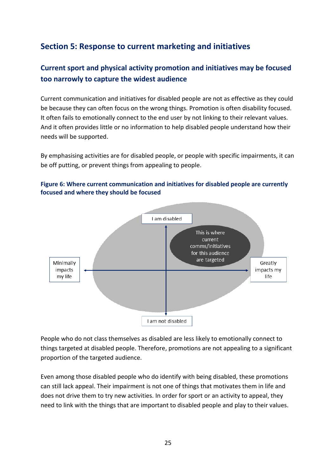# <span id="page-24-0"></span>**Section 5: Response to current marketing and initiatives**

# **Current sport and physical activity promotion and initiatives may be focused too narrowly to capture the widest audience**

Current communication and initiatives for disabled people are not as effective as they could be because they can often focus on the wrong things. Promotion is often disability focused. It often fails to emotionally connect to the end user by not linking to their relevant values. And it often provides little or no information to help disabled people understand how their needs will be supported.

By emphasising activities are for disabled people, or people with specific impairments, it can be off putting, or prevent things from appealing to people.





People who do not class themselves as disabled are less likely to emotionally connect to things targeted at disabled people. Therefore, promotions are not appealing to a significant proportion of the targeted audience.

Even among those disabled people who do identify with being disabled, these promotions can still lack appeal. Their impairment is not one of things that motivates them in life and does not drive them to try new activities. In order for sport or an activity to appeal, they need to link with the things that are important to disabled people and play to their values.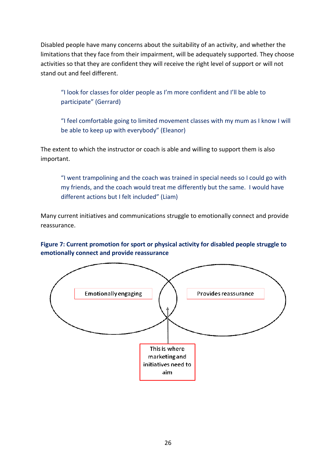Disabled people have many concerns about the suitability of an activity, and whether the limitations that they face from their impairment, will be adequately supported. They choose activities so that they are confident they will receive the right level of support or will not stand out and feel different.

"I look for classes for older people as I'm more confident and I'll be able to participate" (Gerrard)

"I feel comfortable going to limited movement classes with my mum as I know I will be able to keep up with everybody" (Eleanor)

The extent to which the instructor or coach is able and willing to support them is also important.

"I went trampolining and the coach was trained in special needs so I could go with my friends, and the coach would treat me differently but the same. I would have different actions but I felt included" (Liam)

Many current initiatives and communications struggle to emotionally connect and provide reassurance.

#### **Figure 7: Current promotion for sport or physical activity for disabled people struggle to emotionally connect and provide reassurance**

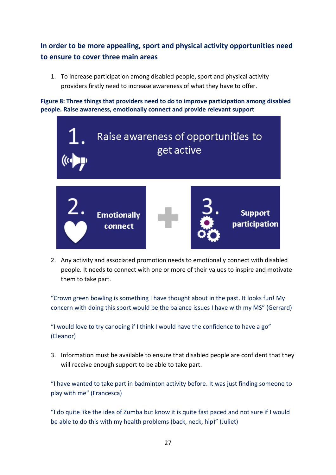# **In order to be more appealing, sport and physical activity opportunities need to ensure to cover three main areas**

1. To increase participation among disabled people, sport and physical activity providers firstly need to increase awareness of what they have to offer.

**Figure 8: Three things that providers need to do to improve participation among disabled people. Raise awareness, emotionally connect and provide relevant support**



2. Any activity and associated promotion needs to emotionally connect with disabled people. It needs to connect with one or more of their values to inspire and motivate them to take part.

"Crown green bowling is something I have thought about in the past. It looks fun! My concern with doing this sport would be the balance issues I have with my MS" (Gerrard)

"I would love to try canoeing if I think I would have the confidence to have a go" (Eleanor)

3. Information must be available to ensure that disabled people are confident that they will receive enough support to be able to take part.

"I have wanted to take part in badminton activity before. It was just finding someone to play with me" (Francesca)

"I do quite like the idea of Zumba but know it is quite fast paced and not sure if I would be able to do this with my health problems (back, neck, hip)" (Juliet)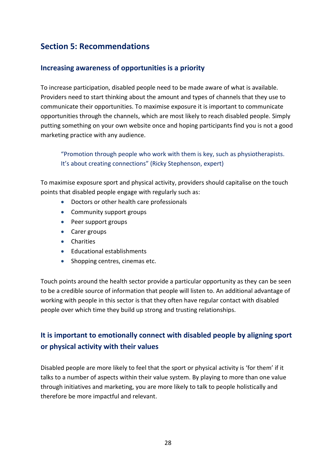# <span id="page-27-0"></span>**Section 5: Recommendations**

### **Increasing awareness of opportunities is a priority**

To increase participation, disabled people need to be made aware of what is available. Providers need to start thinking about the amount and types of channels that they use to communicate their opportunities. To maximise exposure it is important to communicate opportunities through the channels, which are most likely to reach disabled people. Simply putting something on your own website once and hoping participants find you is not a good marketing practice with any audience.

"Promotion through people who work with them is key, such as physiotherapists. It's about creating connections" (Ricky Stephenson, expert)

To maximise exposure sport and physical activity, providers should capitalise on the touch points that disabled people engage with regularly such as:

- Doctors or other health care professionals
- Community support groups
- Peer support groups
- Carer groups
- **•** Charities
- Educational establishments
- Shopping centres, cinemas etc.

Touch points around the health sector provide a particular opportunity as they can be seen to be a credible source of information that people will listen to. An additional advantage of working with people in this sector is that they often have regular contact with disabled people over which time they build up strong and trusting relationships.

# **It is important to emotionally connect with disabled people by aligning sport or physical activity with their values**

Disabled people are more likely to feel that the sport or physical activity is 'for them' if it talks to a number of aspects within their value system. By playing to more than one value through initiatives and marketing, you are more likely to talk to people holistically and therefore be more impactful and relevant.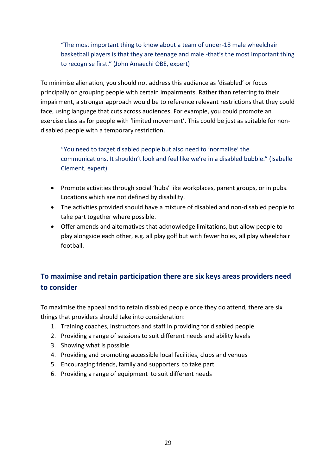"The most important thing to know about a team of under-18 male wheelchair basketball players is that they are teenage and male -that's the most important thing to recognise first." (John Amaechi OBE, expert)

To minimise alienation, you should not address this audience as 'disabled' or focus principally on grouping people with certain impairments. Rather than referring to their impairment, a stronger approach would be to reference relevant restrictions that they could face, using language that cuts across audiences. For example, you could promote an exercise class as for people with 'limited movement'. This could be just as suitable for nondisabled people with a temporary restriction.

"You need to target disabled people but also need to 'normalise' the communications. It shouldn't look and feel like we're in a disabled bubble." (Isabelle Clement, expert)

- Promote activities through social 'hubs' like workplaces, parent groups, or in pubs. Locations which are not defined by disability.
- The activities provided should have a mixture of disabled and non-disabled people to take part together where possible.
- Offer amends and alternatives that acknowledge limitations, but allow people to play alongside each other, e.g. all play golf but with fewer holes, all play wheelchair football.

# **To maximise and retain participation there are six keys areas providers need to consider**

To maximise the appeal and to retain disabled people once they do attend, there are six things that providers should take into consideration:

- 1. Training coaches, instructors and staff in providing for disabled people
- 2. Providing a range of sessions to suit different needs and ability levels
- 3. Showing what is possible
- 4. Providing and promoting accessible local facilities, clubs and venues
- 5. Encouraging friends, family and supporters to take part
- 6. Providing a range of equipment to suit different needs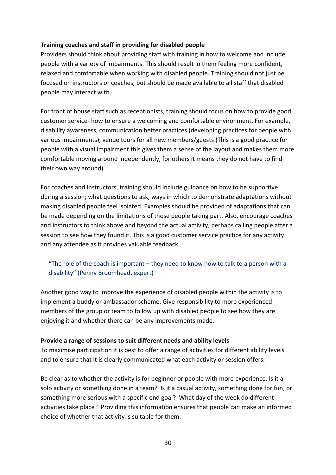#### **Training coaches and staff in providing for disabled people**

Providers should think about providing staff with training in how to welcome and include people with a variety of impairments. This should result in them feeling more confident, relaxed and comfortable when working with disabled people. Training should not just be focused on instructors or coaches, but should be made available to all staff that disabled people may interact with.

For front of house staff such as receptionists, training should focus on how to provide good customer service- how to ensure a welcoming and comfortable environment. For example, disability awareness, communication better practices (developing practices for people with various impairments), venue tours for all new members/guests (This is a good practice for people with a visual impairment this gives them a sense of the layout and makes them more comfortable moving around independently, for others it means they do not have to find their own way around).

For coaches and instructors, training should include guidance on how to be supportive during a session; what questions to ask, ways in which to demonstrate adaptations without making disabled people feel isolated. Examples should be provided of adaptations that can be made depending on the limitations of those people taking part. Also, encourage coaches and instructors to think above and beyond the actual activity, perhaps calling people after a session to see how they found it. This is a good customer service practice for any activity and any attendee as it provides valuable feedback.

### "The role of the coach is important  $-$  they need to know how to talk to a person with a disability" (Penny Broomhead, expert)

Another good way to improve the experience of disabled people within the activity is to implement a buddy or ambassador scheme. Give responsibility to more experienced members of the group or team to follow up with disabled people to see how they are enjoying it and whether there can be any improvements made.

#### **Provide a range of sessions to suit different needs and ability levels**

To maximise participation it is best to offer a range of activities for different ability levels and to ensure that it is clearly communicated what each activity or session offers.

Be clear as to whether the activity is for beginner or people with more experience. Is it a solo activity or something done in a team? Is it a casual activity, something done for fun, or something more serious with a specific end goal? What day of the week do different activities take place? Providing this information ensures that people can make an informed choice of whether that activity is suitable for them.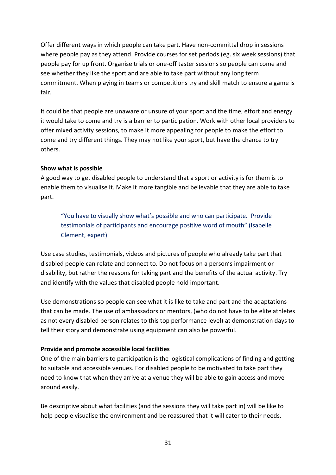Offer different ways in which people can take part. Have non-committal drop in sessions where people pay as they attend. Provide courses for set periods (eg. six week sessions) that people pay for up front. Organise trials or one-off taster sessions so people can come and see whether they like the sport and are able to take part without any long term commitment. When playing in teams or competitions try and skill match to ensure a game is fair.

It could be that people are unaware or unsure of your sport and the time, effort and energy it would take to come and try is a barrier to participation. Work with other local providers to offer mixed activity sessions, to make it more appealing for people to make the effort to come and try different things. They may not like your sport, but have the chance to try others.

#### **Show what is possible**

A good way to get disabled people to understand that a sport or activity is for them is to enable them to visualise it. Make it more tangible and believable that they are able to take part.

"You have to visually show what's possible and who can participate. Provide testimonials of participants and encourage positive word of mouth" (Isabelle Clement, expert)

Use case studies, testimonials, videos and pictures of people who already take part that disabled people can relate and connect to. Do not focus on a person's impairment or disability, but rather the reasons for taking part and the benefits of the actual activity. Try and identify with the values that disabled people hold important.

Use demonstrations so people can see what it is like to take and part and the adaptations that can be made. The use of ambassadors or mentors, (who do not have to be elite athletes as not every disabled person relates to this top performance level) at demonstration days to tell their story and demonstrate using equipment can also be powerful.

### **Provide and promote accessible local facilities**

One of the main barriers to participation is the logistical complications of finding and getting to suitable and accessible venues. For disabled people to be motivated to take part they need to know that when they arrive at a venue they will be able to gain access and move around easily.

Be descriptive about what facilities (and the sessions they will take part in) will be like to help people visualise the environment and be reassured that it will cater to their needs.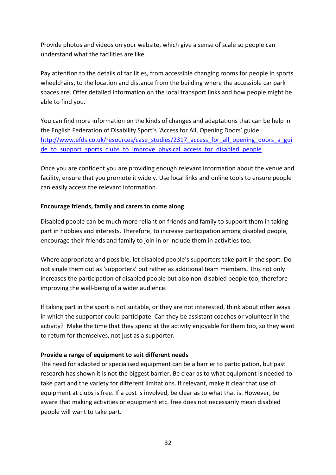Provide photos and videos on your website, which give a sense of scale so people can understand what the facilities are like.

Pay attention to the details of facilities, from accessible changing rooms for people in sports wheelchairs, to the location and distance from the building where the accessible car park spaces are. Offer detailed information on the local transport links and how people might be able to find you.

You can find more information on the kinds of changes and adaptations that can be help in the English Federation of Disability Sport's 'Access for All, Opening Doors' guide [http://www.efds.co.uk/resources/case\\_studies/2317\\_access\\_for\\_all\\_opening\\_doors\\_a\\_gui](http://www.efds.co.uk/resources/case_studies/2317_access_for_all_opening_doors_a_guide_to_support_sports_clubs_to_improve_physical_access_for_disabled_people)\_ de to support sports clubs to improve physical access for disabled people

Once you are confident you are providing enough relevant information about the venue and facility, ensure that you promote it widely. Use local links and online tools to ensure people can easily access the relevant information.

#### **Encourage friends, family and carers to come along**

Disabled people can be much more reliant on friends and family to support them in taking part in hobbies and interests. Therefore, to increase participation among disabled people, encourage their friends and family to join in or include them in activities too.

Where appropriate and possible, let disabled people's supporters take part in the sport. Do not single them out as 'supporters' but rather as additional team members. This not only increases the participation of disabled people but also non-disabled people too, therefore improving the well-being of a wider audience.

If taking part in the sport is not suitable, or they are not interested, think about other ways in which the supporter could participate. Can they be assistant coaches or volunteer in the activity? Make the time that they spend at the activity enjoyable for them too, so they want to return for themselves, not just as a supporter.

#### **Provide a range of equipment to suit different needs**

The need for adapted or specialised equipment can be a barrier to participation, but past research has shown it is not the biggest barrier. Be clear as to what equipment is needed to take part and the variety for different limitations. If relevant, make it clear that use of equipment at clubs is free. If a cost is involved, be clear as to what that is. However, be aware that making activities or equipment etc. free does not necessarily mean disabled people will want to take part.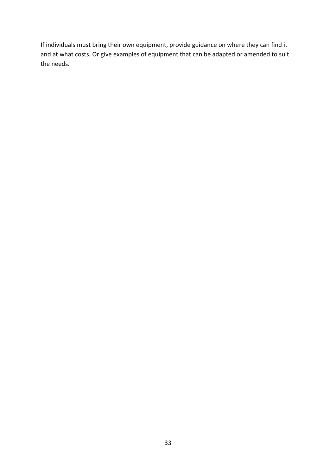If individuals must bring their own equipment, provide guidance on where they can find it and at what costs. Or give examples of equipment that can be adapted or amended to suit the needs.